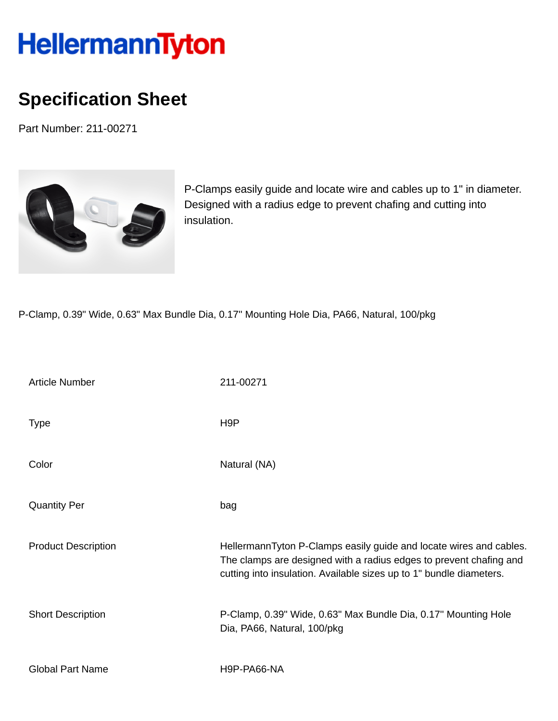## **HellermannTyton**

## **Specification Sheet**

Part Number: 211-00271



P-Clamps easily guide and locate wire and cables up to 1" in diameter. Designed with a radius edge to prevent chafing and cutting into insulation.

P-Clamp, 0.39" Wide, 0.63" Max Bundle Dia, 0.17'' Mounting Hole Dia, PA66, Natural, 100/pkg

| <b>Article Number</b>      | 211-00271                                                                                                                                                                                                       |
|----------------------------|-----------------------------------------------------------------------------------------------------------------------------------------------------------------------------------------------------------------|
| <b>Type</b>                | H <sub>9</sub> P                                                                                                                                                                                                |
| Color                      | Natural (NA)                                                                                                                                                                                                    |
| <b>Quantity Per</b>        | bag                                                                                                                                                                                                             |
| <b>Product Description</b> | HellermannTyton P-Clamps easily guide and locate wires and cables.<br>The clamps are designed with a radius edges to prevent chafing and<br>cutting into insulation. Available sizes up to 1" bundle diameters. |
| <b>Short Description</b>   | P-Clamp, 0.39" Wide, 0.63" Max Bundle Dia, 0.17" Mounting Hole<br>Dia, PA66, Natural, 100/pkg                                                                                                                   |
| <b>Global Part Name</b>    | H9P-PA66-NA                                                                                                                                                                                                     |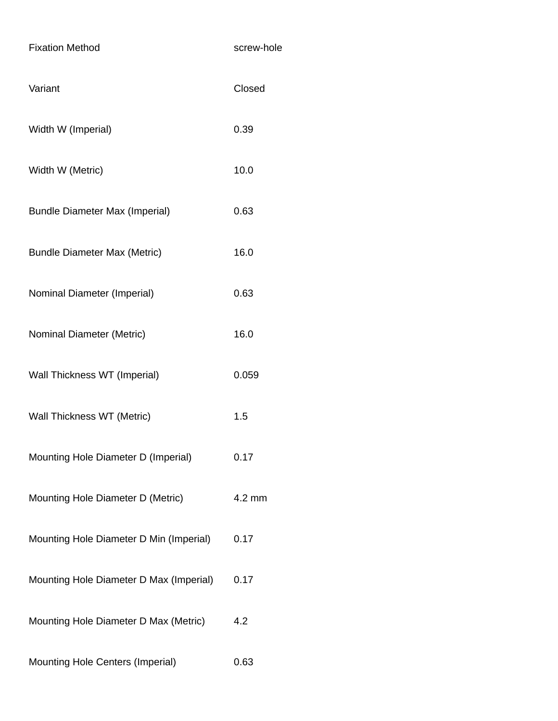| <b>Fixation Method</b>                  | screw-hole       |
|-----------------------------------------|------------------|
| Variant                                 | Closed           |
| Width W (Imperial)                      | 0.39             |
| Width W (Metric)                        | 10.0             |
| <b>Bundle Diameter Max (Imperial)</b>   | 0.63             |
| <b>Bundle Diameter Max (Metric)</b>     | 16.0             |
| Nominal Diameter (Imperial)             | 0.63             |
| Nominal Diameter (Metric)               | 16.0             |
| Wall Thickness WT (Imperial)            | 0.059            |
| Wall Thickness WT (Metric)              | 1.5              |
| Mounting Hole Diameter D (Imperial)     | 0.17             |
| Mounting Hole Diameter D (Metric)       | $4.2 \text{ mm}$ |
| Mounting Hole Diameter D Min (Imperial) | 0.17             |
| Mounting Hole Diameter D Max (Imperial) | 0.17             |
| Mounting Hole Diameter D Max (Metric)   | 4.2              |
| Mounting Hole Centers (Imperial)        | 0.63             |